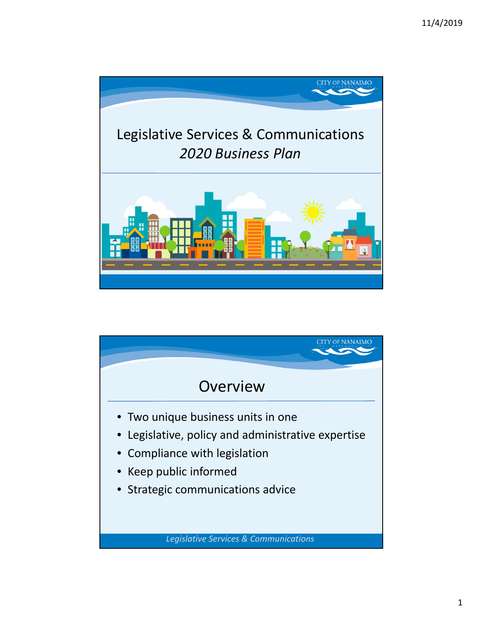

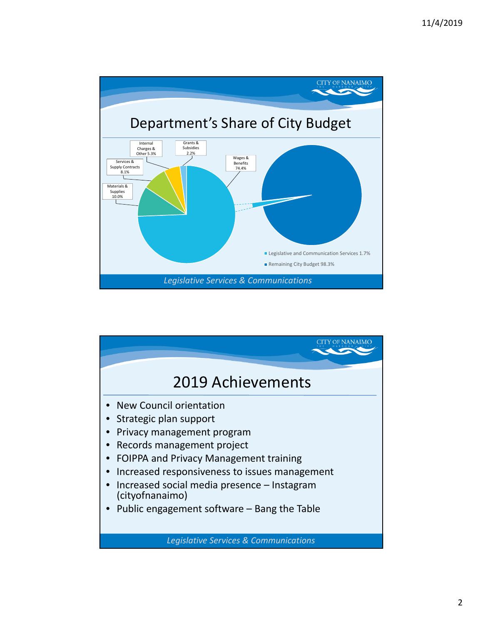

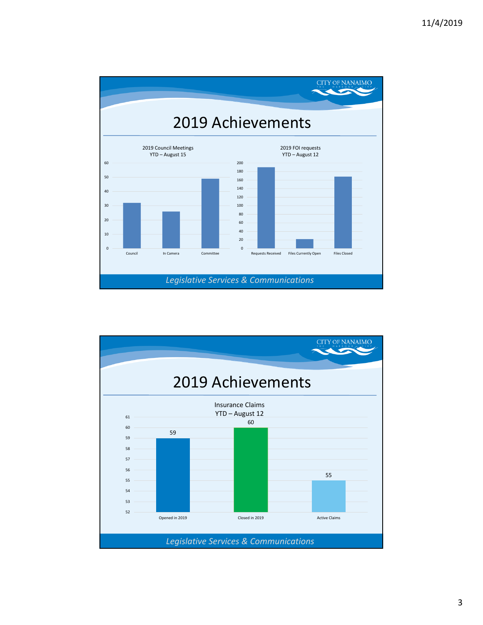

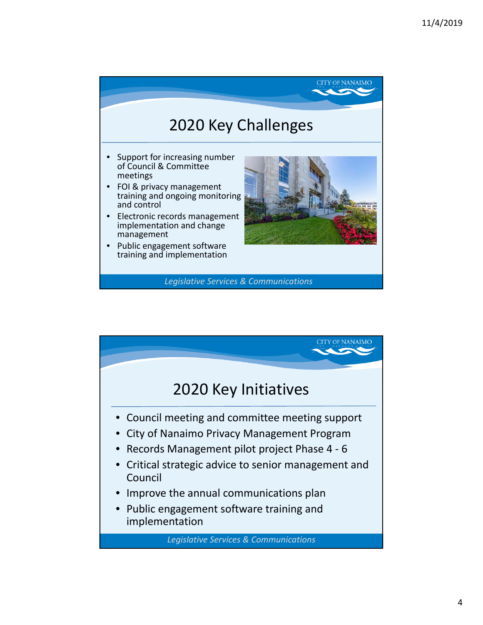

*Legislative Services & Communications*